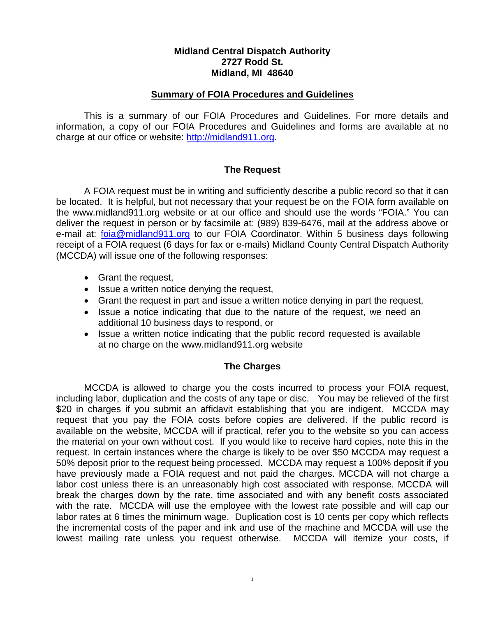## **Midland Central Dispatch Authority 2727 Rodd St. Midland, MI 48640**

#### **Summary of FOIA Procedures and Guidelines**

This is a summary of our FOIA Procedures and Guidelines. For more details and information, a copy of our FOIA Procedures and Guidelines and forms are available at no charge at our office or website: [http://midland911.org.](http://midland911.org/)

### **The Request**

A FOIA request must be in writing and sufficiently describe a public record so that it can be located. It is helpful, but not necessary that your request be on the FOIA form available on the www.midland911.org website or at our office and should use the words "FOIA." You can deliver the request in person or by facsimile at: (989) 839-6476, mail at the address above or e-mail at: [foia@midland911.org](mailto:foia@midland911.org) to our FOIA Coordinator. Within 5 business days following receipt of a FOIA request (6 days for fax or e-mails) Midland County Central Dispatch Authority (MCCDA) will issue one of the following responses:

- Grant the request,
- Issue a written notice denying the request,
- Grant the request in part and issue a written notice denying in part the request,
- Issue a notice indicating that due to the nature of the request, we need an additional 10 business days to respond, or
- Issue a written notice indicating that the public record requested is available at no charge on the www.midland911.org website

### **The Charges**

MCCDA is allowed to charge you the costs incurred to process your FOIA request, including labor, duplication and the costs of any tape or disc. You may be relieved of the first \$20 in charges if you submit an affidavit establishing that you are indigent. MCCDA may request that you pay the FOIA costs before copies are delivered. If the public record is available on the website, MCCDA will if practical, refer you to the website so you can access the material on your own without cost. If you would like to receive hard copies, note this in the request. In certain instances where the charge is likely to be over \$50 MCCDA may request a 50% deposit prior to the request being processed. MCCDA may request a 100% deposit if you have previously made a FOIA request and not paid the charges. MCCDA will not charge a labor cost unless there is an unreasonably high cost associated with response. MCCDA will break the charges down by the rate, time associated and with any benefit costs associated with the rate. MCCDA will use the employee with the lowest rate possible and will cap our labor rates at 6 times the minimum wage. Duplication cost is 10 cents per copy which reflects the incremental costs of the paper and ink and use of the machine and MCCDA will use the lowest mailing rate unless you request otherwise. MCCDA will itemize your costs, if